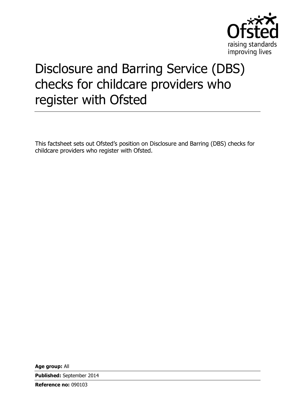

# Disclosure and Barring Service (DBS) checks for childcare providers who register with Ofsted

This factsheet sets out Ofsted's position on Disclosure and Barring (DBS) checks for childcare providers who register with Ofsted.

**Age group:** All

**Published:** September 2014

**Reference no:** 090103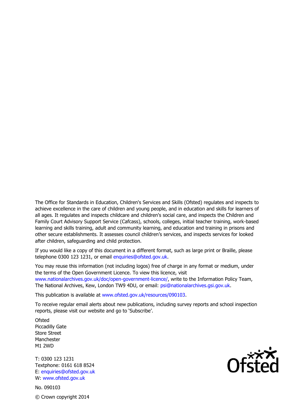The Office for Standards in Education, Children's Services and Skills (Ofsted) regulates and inspects to achieve excellence in the care of children and young people, and in education and skills for learners of all ages. It regulates and inspects childcare and children's social care, and inspects the Children and Family Court Advisory Support Service (Cafcass), schools, colleges, initial teacher training, work-based learning and skills training, adult and community learning, and education and training in prisons and other secure establishments. It assesses council children's services, and inspects services for looked after children, safeguarding and child protection.

If you would like a copy of this document in a different format, such as large print or Braille, please telephone 0300 123 1231, or email enquiries@ofsted.gov.uk.

You may reuse this information (not including logos) free of charge in any format or medium, under the terms of the Open Government Licence. To view this licence, visit www.nationalarchives.gov.uk/doc/open-government-licence/, write to the Information Policy Team, The National Archives, Kew, London TW9 4DU, or email: psi@nationalarchives.gsi.gov.uk.

This publication is available at www.ofsted.gov.uk/resources/090103.

To receive regular email alerts about new publications, including survey reports and school inspection reports, please visit our website and go to 'Subscribe'.

**Ofsted** Piccadilly Gate Store Street Manchester M1 2WD

T: 0300 123 1231 Textphone: 0161 618 8524 E: enquiries@ofsted.gov.uk W: www.ofsted.gov.uk

No. 090103 © Crown copyright 2014

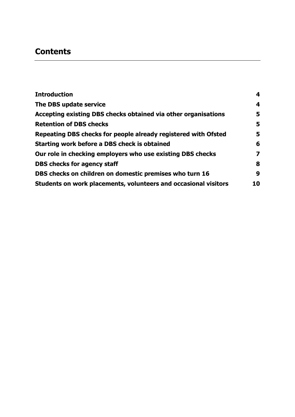# **Contents**

| <b>Introduction</b>                                             | 4  |
|-----------------------------------------------------------------|----|
| The DBS update service                                          | 4  |
| Accepting existing DBS checks obtained via other organisations  | 5  |
| <b>Retention of DBS checks</b>                                  | 5  |
| Repeating DBS checks for people already registered with Ofsted  | 5  |
| Starting work before a DBS check is obtained                    | 6  |
| Our role in checking employers who use existing DBS checks      | 7  |
| <b>DBS checks for agency staff</b>                              | 8  |
| DBS checks on children on domestic premises who turn 16         | 9  |
| Students on work placements, volunteers and occasional visitors | 10 |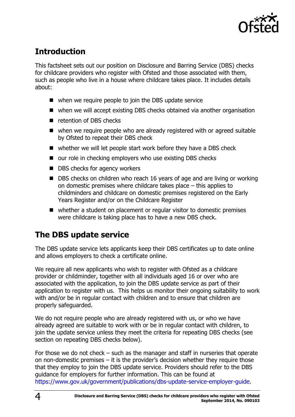

# <span id="page-3-0"></span>**Introduction**

This factsheet sets out our position on Disclosure and Barring Service (DBS) checks for childcare providers who register with Ofsted and those associated with them, such as people who live in a house where childcare takes place. It includes details about:

- when we require people to join the DBS update service
- when we will accept existing DBS checks obtained via another organisation
- retention of DBS checks
- when we require people who are already registered with or agreed suitable by Ofsted to repeat their DBS check
- whether we will let people start work before they have a DBS check
- our role in checking employers who use existing DBS checks
- DBS checks for agency workers
- DBS checks on children who reach 16 years of age and are living or working on domestic premises where childcare takes place – this applies to childminders and childcare on domestic premises registered on the Early Years Register and/or on the Childcare Register
- whether a student on placement or regular visitor to domestic premises were childcare is taking place has to have a new DBS check.

#### <span id="page-3-1"></span>**The DBS update service**

The DBS update service lets applicants keep their DBS certificates up to date online and allows employers to check a certificate online.

We require all new applicants who wish to register with Ofsted as a childcare provider or childminder, together with all individuals aged 16 or over who are associated with the application, to join the DBS update service as part of their application to register with us. This helps us monitor their ongoing suitability to work with and/or be in regular contact with children and to ensure that children are properly safeguarded.

We do not require people who are already registered with us, or who we have already agreed are suitable to work with or be in regular contact with children, to join the update service unless they meet the criteria for repeating DBS checks (see section on repeating DBS checks below).

For those we do not check – such as the manager and staff in nurseries that operate on non-domestic premises – it is the provider's decision whether they require those that they employ to join the DBS update service. Providers should refer to the DBS guidance for employers for further information. This can be found at [https://www.gov.uk/government/publications/dbs-update-service-employer-guide.](https://www.gov.uk/government/publications/dbs-update-service-employer-guide)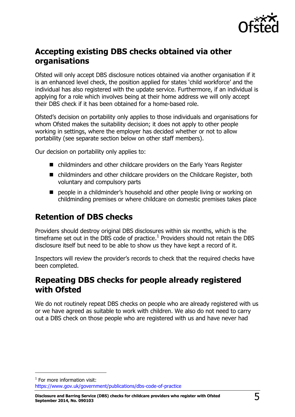

## <span id="page-4-0"></span>**Accepting existing DBS checks obtained via other organisations**

Ofsted will only accept DBS disclosure notices obtained via another organisation if it is an enhanced level check, the position applied for states 'child workforce' and the individual has also registered with the update service. Furthermore, if an individual is applying for a role which involves being at their home address we will only accept their DBS check if it has been obtained for a home-based role.

Ofsted's decision on portability only applies to those individuals and organisations for whom Ofsted makes the suitability decision; it does not apply to other people working in settings, where the employer has decided whether or not to allow portability (see separate section below on other staff members).

Our decision on portability only applies to:

- childminders and other childcare providers on the Early Years Register
- childminders and other childcare providers on the Childcare Register, both voluntary and compulsory parts
- **P** people in a childminder's household and other people living or working on childminding premises or where childcare on domestic premises takes place

## <span id="page-4-1"></span>**Retention of DBS checks**

Providers should destroy original DBS disclosures within six months, which is the timeframe set out in the DBS code of practice.<sup>1</sup> Providers should not retain the DBS disclosure itself but need to be able to show us they have kept a record of it.

Inspectors will review the provider's records to check that the required checks have been completed.

#### <span id="page-4-2"></span>**Repeating DBS checks for people already registered with Ofsted**

We do not routinely repeat DBS checks on people who are already registered with us or we have agreed as suitable to work with children. We also do not need to carry out a DBS check on those people who are registered with us and have never had

 $<sup>1</sup>$  For more information visit:</sup> <https://www.gov.uk/government/publications/dbs-code-of-practice>

j

**Disclosure and Barring Service (DBS) checks for childcare providers who register with Ofsted September 2014, No. 090103** 5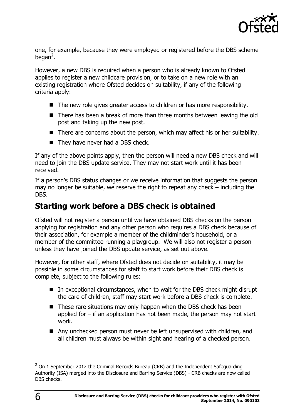

one, for example, because they were employed or registered before the DBS scheme began<sup>2</sup>.

However, a new DBS is required when a person who is already known to Ofsted applies to register a new childcare provision, or to take on a new role with an existing registration where Ofsted decides on suitability, if any of the following criteria apply:

- $\blacksquare$  The new role gives greater access to children or has more responsibility.
- There has been a break of more than three months between leaving the old post and taking up the new post.
- $\blacksquare$  There are concerns about the person, which may affect his or her suitability.
- They have never had a DBS check.

If any of the above points apply, then the person will need a new DBS check and will need to join the DBS update service. They may not start work until it has been received.

If a person's DBS status changes or we receive information that suggests the person may no longer be suitable, we reserve the right to repeat any check – including the DBS.

#### <span id="page-5-0"></span>**Starting work before a DBS check is obtained**

Ofsted will not register a person until we have obtained DBS checks on the person applying for registration and any other person who requires a DBS check because of their association, for example a member of the childminder's household, or a member of the committee running a playgroup. We will also not register a person unless they have joined the DBS update service, as set out above.

However, for other staff, where Ofsted does not decide on suitability, it may be possible in some circumstances for staff to start work before their DBS check is complete, subject to the following rules:

- $\blacksquare$  In exceptional circumstances, when to wait for the DBS check might disrupt the care of children, staff may start work before a DBS check is complete.
- These rare situations may only happen when the DBS check has been applied for – if an application has not been made, the person may not start work.
- Any unchecked person must never be left unsupervised with children, and all children must always be within sight and hearing of a checked person.

j

 $^2$  On 1 September 2012 the Criminal Records Bureau (CRB) and the Independent Safeguarding Authority (ISA) merged into the Disclosure and Barring Service (DBS) - CRB checks are now called DBS checks.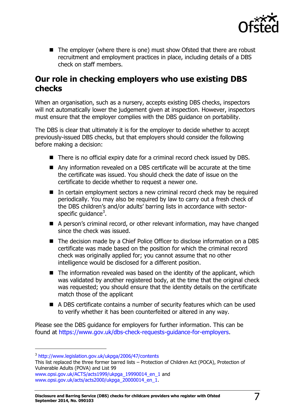

■ The employer (where there is one) must show Ofsted that there are robust recruitment and employment practices in place, including details of a DBS check on staff members.

#### <span id="page-6-0"></span>**Our role in checking employers who use existing DBS checks**

When an organisation, such as a nursery, accepts existing DBS checks, inspectors will not automatically lower the judgement given at inspection. However, inspectors must ensure that the employer complies with the DBS guidance on portability.

The DBS is clear that ultimately it is for the employer to decide whether to accept previously-issued DBS checks, but that employers should consider the following before making a decision:

- There is no official expiry date for a criminal record check issued by DBS.
- Any information revealed on a DBS certificate will be accurate at the time the certificate was issued. You should check the date of issue on the certificate to decide whether to request a newer one.
- In certain employment sectors a new criminal record check may be required periodically. You may also be required by law to carry out a fresh check of the DBS children's and/or adults' barring lists in accordance with sectorspecific guidance<sup>3</sup>.
- A person's criminal record, or other relevant information, may have changed since the check was issued.
- The decision made by a Chief Police Officer to disclose information on a DBS certificate was made based on the position for which the criminal record check was originally applied for; you cannot assume that no other intelligence would be disclosed for a different position.
- $\blacksquare$  The information revealed was based on the identity of the applicant, which was validated by another registered body, at the time that the original check was requested; you should ensure that the identity details on the certificate match those of the applicant
- A DBS certificate contains a number of security features which can be used to verify whether it has been counterfeited or altered in any way.

Please see the DBS guidance for employers for further information. This can be found at [https://www.gov.uk/dbs-check-requests-guidance-for-employers.](https://www.gov.uk/dbs-check-requests-guidance-for-employers)

-

<sup>3</sup> <http://www.legislation.gov.uk/ukpga/2006/47/contents>

This list replaced the three former barred lists – Protection of Children Act (POCA), Protection of Vulnerable Adults (POVA) and List 99

[www.opsi.gov.uk/ACTS/acts1999/ukpga\\_19990014\\_en\\_1](http://www.opsi.gov.uk/ACTS/acts1999/ukpga_19990014_en_1) and [www.opsi.gov.uk/acts/acts2000/ukpga\\_20000014\\_en\\_1.](http://www.opsi.gov.uk/acts/acts2000/ukpga_20000014_en_1)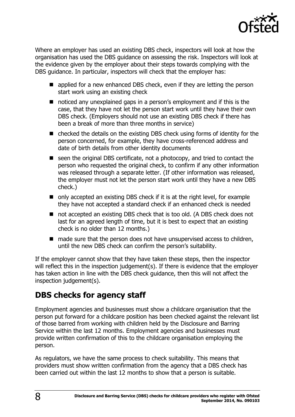

Where an employer has used an existing DBS check, inspectors will look at how the organisation has used the DBS guidance on assessing the risk. Inspectors will look at the evidence given by the employer about their steps towards complying with the DBS guidance. In particular, inspectors will check that the employer has:

- applied for a new enhanced DBS check, even if they are letting the person start work using an existing check
- noticed any unexplained gaps in a person's employment and if this is the case, that they have not let the person start work until they have their own DBS check. (Employers should not use an existing DBS check if there has been a break of more than three months in service)
- checked the details on the existing DBS check using forms of identity for the person concerned, for example, they have cross-referenced address and date of birth details from other identity documents
- seen the original DBS certificate, not a photocopy, and tried to contact the person who requested the original check, to confirm if any other information was released through a separate letter. (If other information was released, the employer must not let the person start work until they have a new DBS check.)
- only accepted an existing DBS check if it is at the right level, for example they have not accepted a standard check if an enhanced check is needed
- not accepted an existing DBS check that is too old. (A DBS check does not last for an agreed length of time, but it is best to expect that an existing check is no older than 12 months.)
- $\blacksquare$  made sure that the person does not have unsupervised access to children, until the new DBS check can confirm the person's suitability.

If the employer cannot show that they have taken these steps, then the inspector will reflect this in the inspection judgement(s). If there is evidence that the employer has taken action in line with the DBS check guidance, then this will not affect the inspection judgement(s).

## <span id="page-7-0"></span>**DBS checks for agency staff**

Employment agencies and businesses must show a childcare organisation that the person put forward for a childcare position has been checked against the relevant list of those barred from working with children held by the Disclosure and Barring Service within the last 12 months. Employment agencies and businesses must provide written confirmation of this to the childcare organisation employing the person.

As regulators, we have the same process to check suitability. This means that providers must show written confirmation from the agency that a DBS check has been carried out within the last 12 months to show that a person is suitable.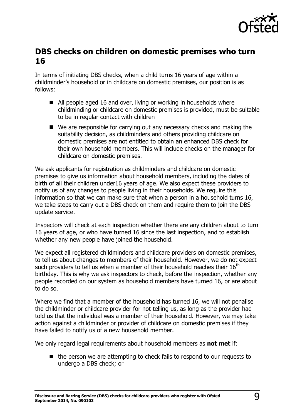![](_page_8_Picture_0.jpeg)

#### <span id="page-8-0"></span>**DBS checks on children on domestic premises who turn 16**

In terms of initiating DBS checks, when a child turns 16 years of age within a childminder's household or in childcare on domestic premises, our position is as follows:

- All people aged 16 and over, living or working in households where childminding or childcare on domestic premises is provided, must be suitable to be in regular contact with children
- We are responsible for carrying out any necessary checks and making the suitability decision, as childminders and others providing childcare on domestic premises are not entitled to obtain an enhanced DBS check for their own household members. This will include checks on the manager for childcare on domestic premises.

We ask applicants for registration as childminders and childcare on domestic premises to give us information about household members, including the dates of birth of all their children under16 years of age. We also expect these providers to notify us of any changes to people living in their households. We require this information so that we can make sure that when a person in a household turns 16, we take steps to carry out a DBS check on them and require them to join the DBS update service.

Inspectors will check at each inspection whether there are any children about to turn 16 years of age, or who have turned 16 since the last inspection, and to establish whether any new people have joined the household.

We expect all registered childminders and childcare providers on domestic premises, to tell us about changes to members of their household. However, we do not expect such providers to tell us when a member of their household reaches their  $16<sup>th</sup>$ birthday. This is why we ask inspectors to check, before the inspection, whether any people recorded on our system as household members have turned 16, or are about to do so.

Where we find that a member of the household has turned 16, we will not penalise the childminder or childcare provider for not telling us, as long as the provider had told us that the individual was a member of their household. However, we may take action against a childminder or provider of childcare on domestic premises if they have failed to notify us of a new household member.

We only regard legal requirements about household members as **not met** if:

 $\blacksquare$  the person we are attempting to check fails to respond to our requests to undergo a DBS check; or